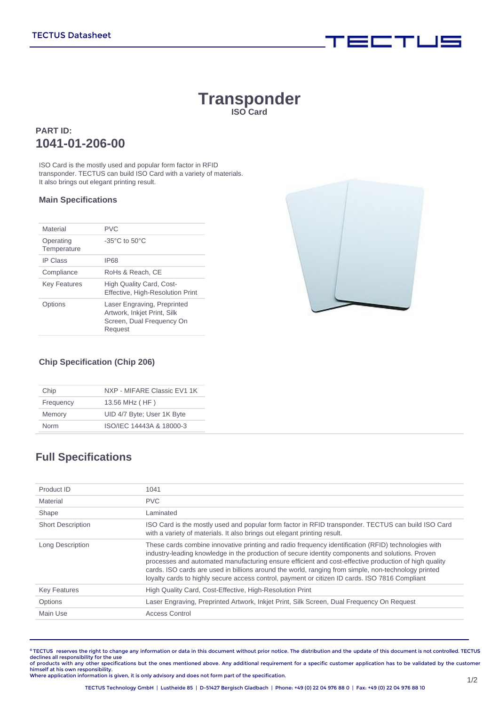# **Transponder ISO Card**

### **PART ID: 1041-01-206-00**

ISO Card is the mostly used and popular form factor in RFID transponder. TECTUS can build ISO Card with a variety of materials. It also brings out elegant printing result.

#### **Main Specifications**

| Material                 | <b>PVC</b>                                                                                         |
|--------------------------|----------------------------------------------------------------------------------------------------|
| Operating<br>Temperature | $-35^{\circ}$ C to $50^{\circ}$ C                                                                  |
| <b>IP Class</b>          | <b>IP68</b>                                                                                        |
| Compliance               | RoHs & Reach, CE                                                                                   |
| <b>Key Features</b>      | High Quality Card, Cost-<br>Effective, High-Resolution Print                                       |
| Dptions                  | Laser Engraving, Preprinted<br>Artwork, Inkjet Print, Silk<br>Screen, Dual Frequency On<br>Request |



**For Many 1980** 

### **Chip Specification (Chip 206)**

| Chip        | NXP - MIFARE Classic EV1 1K |  |  |
|-------------|-----------------------------|--|--|
| Frequency   | 13.56 MHz (HF)              |  |  |
| Memory      | UID 4/7 Byte; User 1K Byte  |  |  |
| <b>Norm</b> | ISO/IEC 14443A & 18000-3    |  |  |

## **Full Specifications**

| Product ID               | 1041                                                                                                                                                                                                                                                                                                                                                                                                                                                                                                                     |
|--------------------------|--------------------------------------------------------------------------------------------------------------------------------------------------------------------------------------------------------------------------------------------------------------------------------------------------------------------------------------------------------------------------------------------------------------------------------------------------------------------------------------------------------------------------|
| Material                 | <b>PVC</b>                                                                                                                                                                                                                                                                                                                                                                                                                                                                                                               |
| Shape                    | Laminated                                                                                                                                                                                                                                                                                                                                                                                                                                                                                                                |
| <b>Short Description</b> | ISO Card is the mostly used and popular form factor in RFID transponder. TECTUS can build ISO Card<br>with a variety of materials. It also brings out elegant printing result.                                                                                                                                                                                                                                                                                                                                           |
| Long Description         | These cards combine innovative printing and radio frequency identification (RFID) technologies with<br>industry-leading knowledge in the production of secure identity components and solutions. Proven<br>processes and automated manufacturing ensure efficient and cost-effective production of high quality<br>cards. ISO cards are used in billions around the world, ranging from simple, non-technology printed<br>loyalty cards to highly secure access control, payment or citizen ID cards. ISO 7816 Compliant |
| <b>Key Features</b>      | High Quality Card, Cost-Effective, High-Resolution Print                                                                                                                                                                                                                                                                                                                                                                                                                                                                 |
| Options                  | Laser Engraving, Preprinted Artwork, Inkjet Print, Silk Screen, Dual Frequency On Request                                                                                                                                                                                                                                                                                                                                                                                                                                |
| Main Use                 | Access Control                                                                                                                                                                                                                                                                                                                                                                                                                                                                                                           |
|                          |                                                                                                                                                                                                                                                                                                                                                                                                                                                                                                                          |

**©** TECTUS reserves the right to change any information or data in this document without prior notice. The distribution and the update of this document is not controlled. TECTUS declines all responsibility for the use<br>of products with any other specifications but the ones mentioned above. Any additional requirement for a specific customer application has to be validated by the customer

himself at his own responsibility. Where application information is given, it is only advisory and does not form part of the specification.